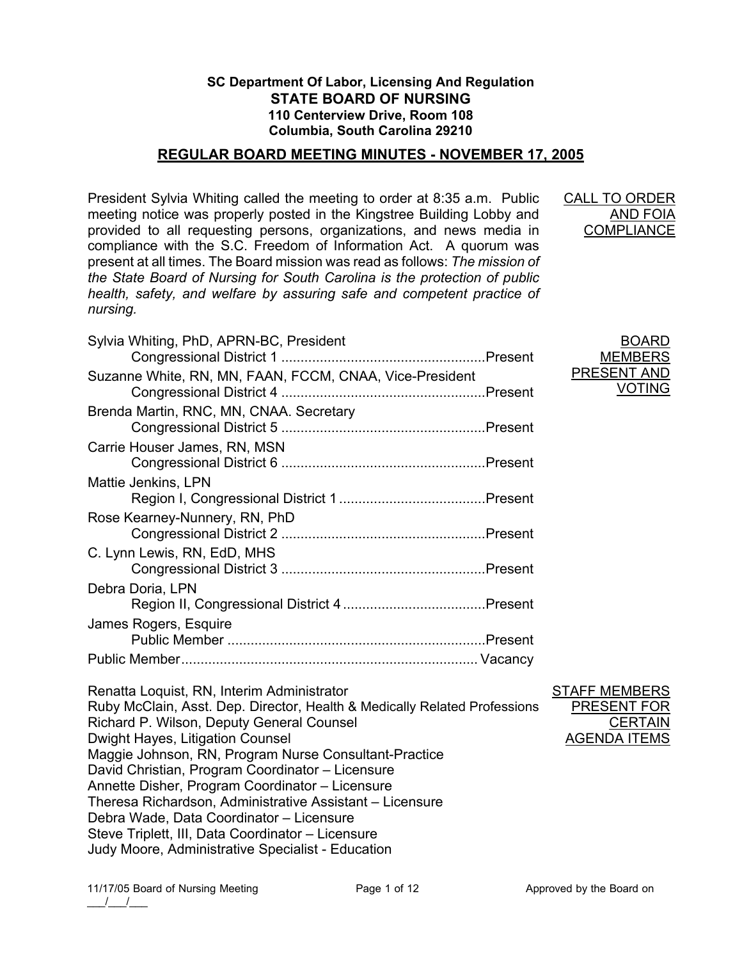## **SC Department Of Labor, Licensing And Regulation STATE BOARD OF NURSING 110 Centerview Drive, Room 108 Columbia, South Carolina 29210**

### **REGULAR BOARD MEETING MINUTES - NOVEMBER 17, 2005**

President Sylvia Whiting called the meeting to order at 8:35 a.m. Public meeting notice was properly posted in the Kingstree Building Lobby and provided to all requesting persons, organizations, and news media in compliance with the S.C. Freedom of Information Act. A quorum was present at all times. The Board mission was read as follows: *The mission of the State Board of Nursing for South Carolina is the protection of public health, safety, and welfare by assuring safe and competent practice of nursing.*

CALL TO ORDER AND FOIA **COMPLIANCE** 

BOARD MEMBERS PRESENT AND

VOTING

| Sylvia Whiting, PhD, APRN-BC, President                 |
|---------------------------------------------------------|
| Suzanne White, RN, MN, FAAN, FCCM, CNAA, Vice-President |
| Brenda Martin, RNC, MN, CNAA. Secretary                 |
| Carrie Houser James, RN, MSN                            |
| Mattie Jenkins, LPN                                     |
| Rose Kearney-Nunnery, RN, PhD                           |
| C. Lynn Lewis, RN, EdD, MHS                             |
| Debra Doria, LPN                                        |
| James Rogers, Esquire                                   |
|                                                         |
| Renatta Loquist, RN, Interim Administrator              |

Ruby McClain, Asst. Dep. Director, Health & Medically Related Professions Richard P. Wilson, Deputy General Counsel Dwight Hayes, Litigation Counsel Maggie Johnson, RN, Program Nurse Consultant-Practice David Christian, Program Coordinator – Licensure Annette Disher, Program Coordinator – Licensure Theresa Richardson, Administrative Assistant – Licensure Debra Wade, Data Coordinator – Licensure Steve Triplett, III, Data Coordinator – Licensure Judy Moore, Administrative Specialist - Education STAFF MEMBERS

PRESENT FOR

AGENDA ITEMS

**CERTAIN**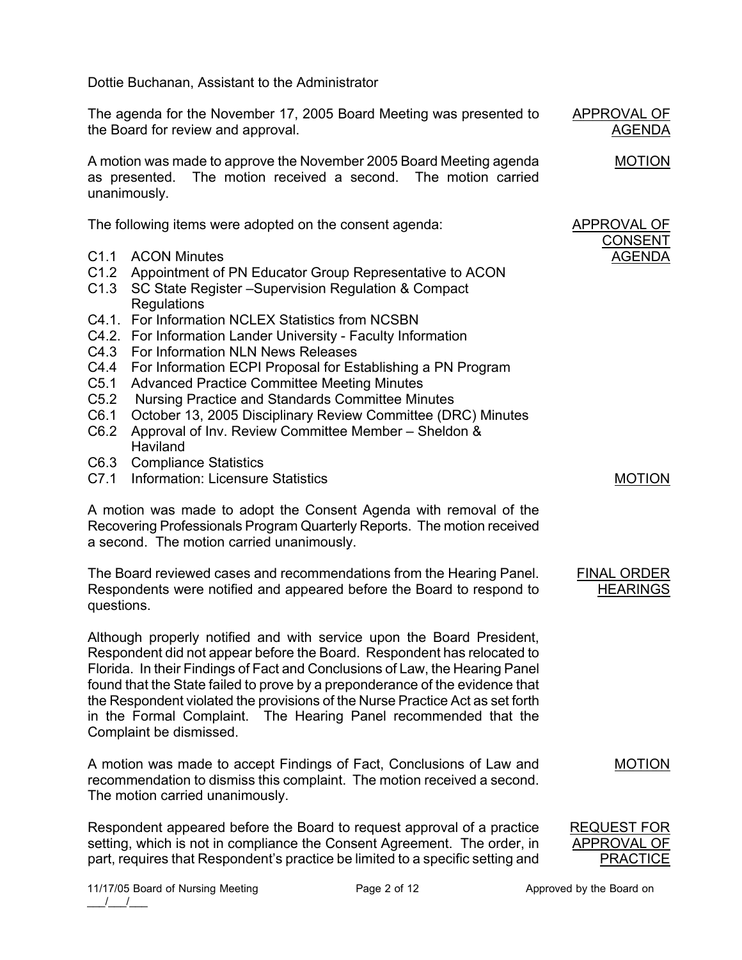Dottie Buchanan, Assistant to the Administrator The agenda for the November 17, 2005 Board Meeting was presented to the Board for review and approval. A motion was made to approve the November 2005 Board Meeting agenda as presented. The motion received a second. The motion carried unanimously. APPROVAL OF AGENDA MOTION The following items were adopted on the consent agenda: C1.1 ACON Minutes C1.2 Appointment of PN Educator Group Representative to ACON C1.3 SC State Register –Supervision Regulation & Compact **Regulations** C4.1. For Information NCLEX Statistics from NCSBN C4.2. For Information Lander University - Faculty Information C4.3 For Information NLN News Releases C4.4 For Information ECPI Proposal for Establishing a PN Program C5.1 Advanced Practice Committee Meeting Minutes C5.2 Nursing Practice and Standards Committee Minutes C6.1 October 13, 2005 Disciplinary Review Committee (DRC) Minutes C6.2 Approval of Inv. Review Committee Member – Sheldon & **Haviland** C6.3 Compliance Statistics C7.1 Information: Licensure Statistics A motion was made to adopt the Consent Agenda with removal of the Recovering Professionals Program Quarterly Reports. The motion received a second. The motion carried unanimously. APPROVAL OF CONSENT AGENDA MOTION The Board reviewed cases and recommendations from the Hearing Panel. Respondents were notified and appeared before the Board to respond to questions. Although properly notified and with service upon the Board President, Respondent did not appear before the Board. Respondent has relocated to Florida. In their Findings of Fact and Conclusions of Law, the Hearing Panel found that the State failed to prove by a preponderance of the evidence that the Respondent violated the provisions of the Nurse Practice Act as set forth in the Formal Complaint. The Hearing Panel recommended that the Complaint be dismissed. A motion was made to accept Findings of Fact, Conclusions of Law and recommendation to dismiss this complaint. The motion received a second. The motion carried unanimously. FINAL ORDER **HEARINGS** MOTION Respondent appeared before the Board to request approval of a practice setting, which is not in compliance the Consent Agreement. The order, in part, requires that Respondent's practice be limited to a specific setting and REQUEST FOR APPROVAL OF **PRACTICE**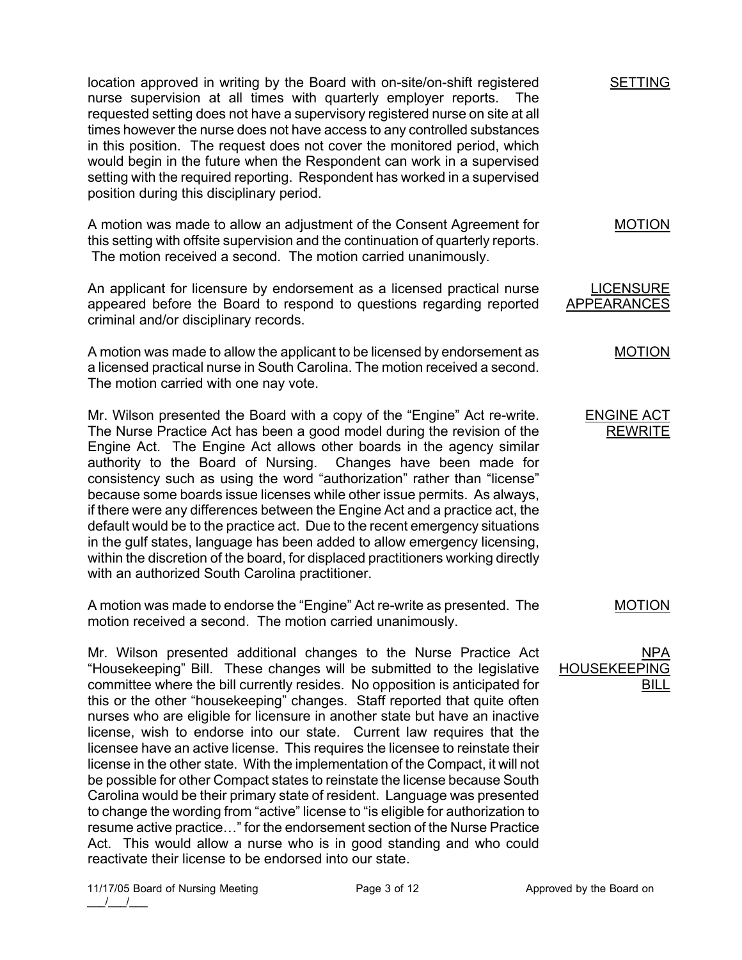location approved in writing by the Board with on-site/on-shift registered nurse supervision at all times with quarterly employer reports. The requested setting does not have a supervisory registered nurse on site at all times however the nurse does not have access to any controlled substances in this position. The request does not cover the monitored period, which would begin in the future when the Respondent can work in a supervised setting with the required reporting. Respondent has worked in a supervised position during this disciplinary period.

A motion was made to allow an adjustment of the Consent Agreement for this setting with offsite supervision and the continuation of quarterly reports. The motion received a second. The motion carried unanimously.

An applicant for licensure by endorsement as a licensed practical nurse appeared before the Board to respond to questions regarding reported criminal and/or disciplinary records.

A motion was made to allow the applicant to be licensed by endorsement as a licensed practical nurse in South Carolina. The motion received a second. The motion carried with one nay vote.

Mr. Wilson presented the Board with a copy of the "Engine" Act re-write. The Nurse Practice Act has been a good model during the revision of the Engine Act. The Engine Act allows other boards in the agency similar authority to the Board of Nursing. Changes have been made for consistency such as using the word "authorization" rather than "license" because some boards issue licenses while other issue permits. As always, if there were any differences between the Engine Act and a practice act, the default would be to the practice act. Due to the recent emergency situations in the gulf states, language has been added to allow emergency licensing, within the discretion of the board, for displaced practitioners working directly with an authorized South Carolina practitioner.

A motion was made to endorse the "Engine" Act re-write as presented. The motion received a second. The motion carried unanimously.

Mr. Wilson presented additional changes to the Nurse Practice Act "Housekeeping" Bill. These changes will be submitted to the legislative committee where the bill currently resides. No opposition is anticipated for this or the other "housekeeping" changes. Staff reported that quite often nurses who are eligible for licensure in another state but have an inactive license, wish to endorse into our state. Current law requires that the licensee have an active license. This requires the licensee to reinstate their license in the other state. With the implementation of the Compact, it will not be possible for other Compact states to reinstate the license because South Carolina would be their primary state of resident. Language was presented to change the wording from "active" license to "is eligible for authorization to resume active practice…" for the endorsement section of the Nurse Practice Act. This would allow a nurse who is in good standing and who could reactivate their license to be endorsed into our state.

ENGINE ACT REWRITE

MOTION

MOTION

NPA HOUSEKEEPING BILL



MOTION

**LICENSURE** APPEARANCES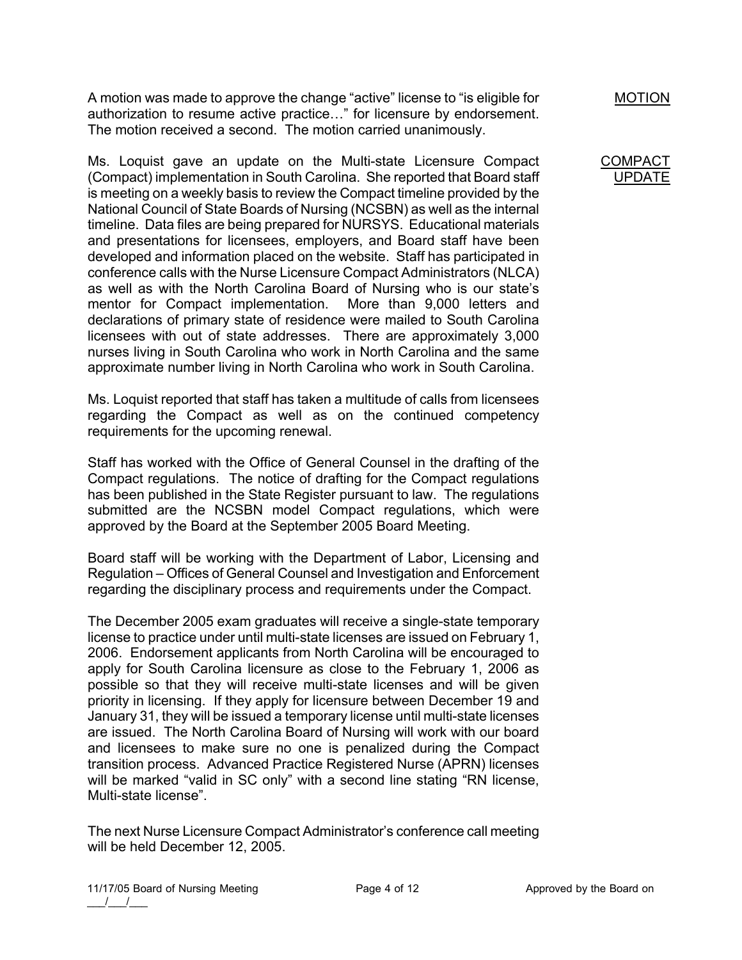A motion was made to approve the change "active" license to "is eligible for authorization to resume active practice…" for licensure by endorsement. The motion received a second. The motion carried unanimously.

Ms. Loquist gave an update on the Multi-state Licensure Compact (Compact) implementation in South Carolina. She reported that Board staff is meeting on a weekly basis to review the Compact timeline provided by the National Council of State Boards of Nursing (NCSBN) as well as the internal timeline. Data files are being prepared for NURSYS. Educational materials and presentations for licensees, employers, and Board staff have been developed and information placed on the website. Staff has participated in conference calls with the Nurse Licensure Compact Administrators (NLCA) as well as with the North Carolina Board of Nursing who is our state's mentor for Compact implementation. More than 9,000 letters and declarations of primary state of residence were mailed to South Carolina licensees with out of state addresses. There are approximately 3,000 nurses living in South Carolina who work in North Carolina and the same approximate number living in North Carolina who work in South Carolina.

Ms. Loquist reported that staff has taken a multitude of calls from licensees regarding the Compact as well as on the continued competency requirements for the upcoming renewal.

Staff has worked with the Office of General Counsel in the drafting of the Compact regulations. The notice of drafting for the Compact regulations has been published in the State Register pursuant to law. The regulations submitted are the NCSBN model Compact regulations, which were approved by the Board at the September 2005 Board Meeting.

Board staff will be working with the Department of Labor, Licensing and Regulation – Offices of General Counsel and Investigation and Enforcement regarding the disciplinary process and requirements under the Compact.

The December 2005 exam graduates will receive a single-state temporary license to practice under until multi-state licenses are issued on February 1, 2006. Endorsement applicants from North Carolina will be encouraged to apply for South Carolina licensure as close to the February 1, 2006 as possible so that they will receive multi-state licenses and will be given priority in licensing. If they apply for licensure between December 19 and January 31, they will be issued a temporary license until multi-state licenses are issued. The North Carolina Board of Nursing will work with our board and licensees to make sure no one is penalized during the Compact transition process. Advanced Practice Registered Nurse (APRN) licenses will be marked "valid in SC only" with a second line stating "RN license, Multi-state license".

The next Nurse Licensure Compact Administrator's conference call meeting will be held December 12, 2005.

MOTION

#### **COMPAC** UPDATE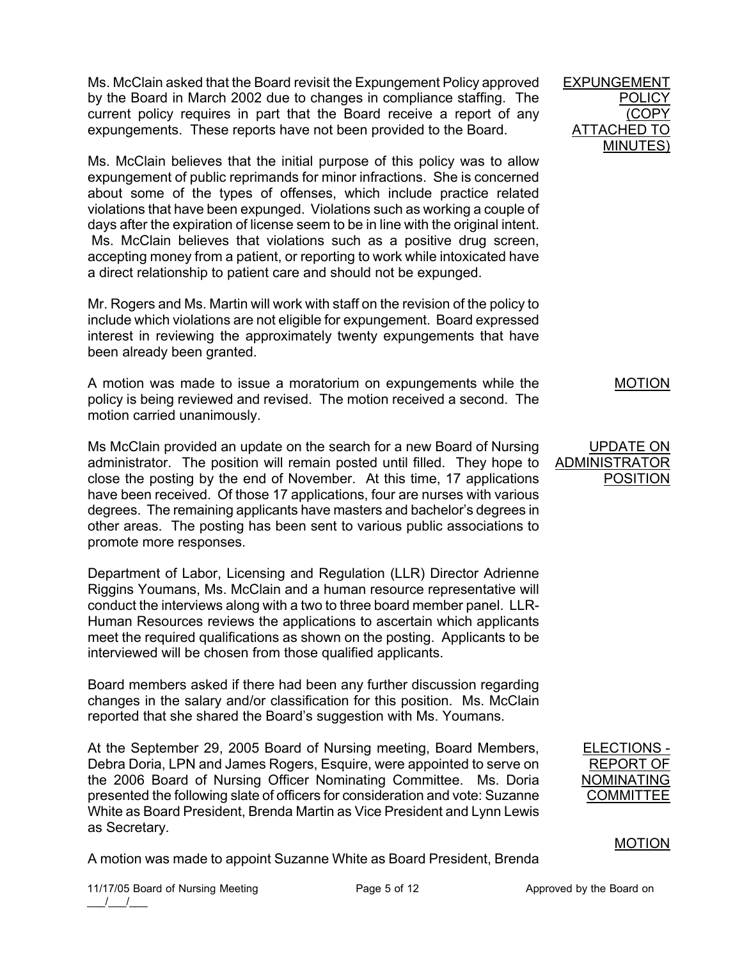Ms. McClain asked that the Board revisit the Expungement Policy approved by the Board in March 2002 due to changes in compliance staffing. The current policy requires in part that the Board receive a report of any expungements. These reports have not been provided to the Board.

Ms. McClain believes that the initial purpose of this policy was to allow expungement of public reprimands for minor infractions. She is concerned about some of the types of offenses, which include practice related violations that have been expunged. Violations such as working a couple of days after the expiration of license seem to be in line with the original intent. Ms. McClain believes that violations such as a positive drug screen, accepting money from a patient, or reporting to work while intoxicated have a direct relationship to patient care and should not be expunged.

Mr. Rogers and Ms. Martin will work with staff on the revision of the policy to include which violations are not eligible for expungement. Board expressed interest in reviewing the approximately twenty expungements that have been already been granted.

A motion was made to issue a moratorium on expungements while the policy is being reviewed and revised. The motion received a second. The motion carried unanimously.

Ms McClain provided an update on the search for a new Board of Nursing administrator. The position will remain posted until filled. They hope to close the posting by the end of November. At this time, 17 applications have been received. Of those 17 applications, four are nurses with various degrees. The remaining applicants have masters and bachelor's degrees in other areas. The posting has been sent to various public associations to promote more responses.

Department of Labor, Licensing and Regulation (LLR) Director Adrienne Riggins Youmans, Ms. McClain and a human resource representative will conduct the interviews along with a two to three board member panel. LLR-Human Resources reviews the applications to ascertain which applicants meet the required qualifications as shown on the posting. Applicants to be interviewed will be chosen from those qualified applicants.

Board members asked if there had been any further discussion regarding changes in the salary and/or classification for this position. Ms. McClain reported that she shared the Board's suggestion with Ms. Youmans.

At the September 29, 2005 Board of Nursing meeting, Board Members, Debra Doria, LPN and James Rogers, Esquire, were appointed to serve on the 2006 Board of Nursing Officer Nominating Committee. Ms. Doria presented the following slate of officers for consideration and vote: Suzanne White as Board President, Brenda Martin as Vice President and Lynn Lewis as Secretary.

A motion was made to appoint Suzanne White as Board President, Brenda

EXPUNGEMENT POLICY (COPY ATTACHED TO MINUTES)

MOTION

## UPDATE ON ADMINISTRATOR POSITION

| ELECTIONS - |
|-------------|
| REPORT OF   |
| NOMINATING  |
| COMMITTEE   |
|             |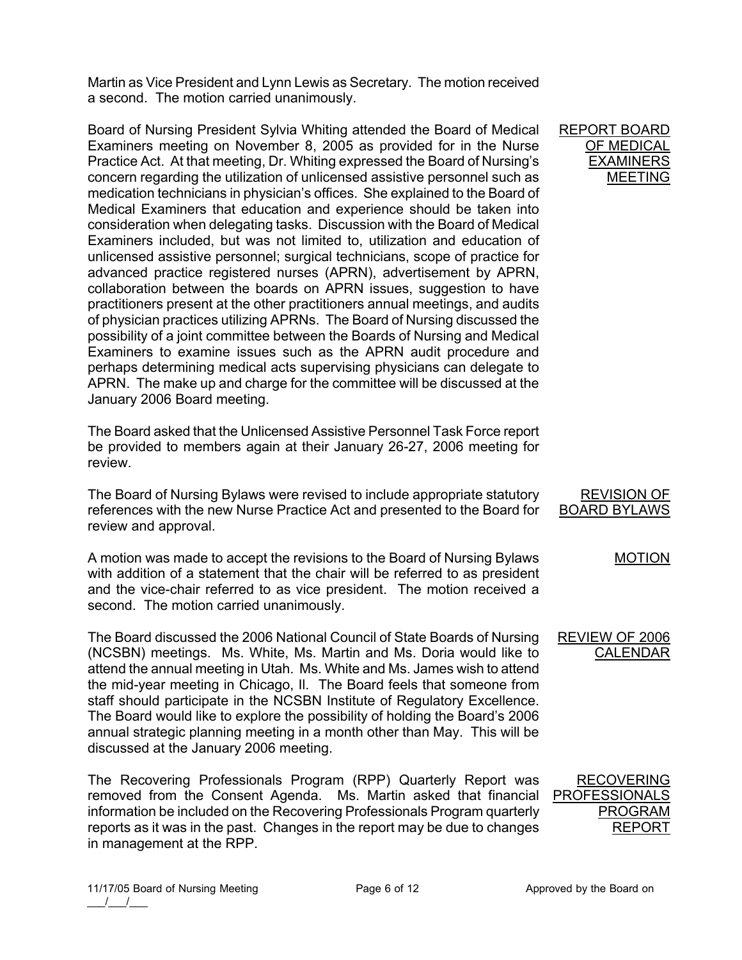Martin as Vice President and Lynn Lewis as Secretary. The motion received a second. The motion carried unanimously.

Board of Nursing President Sylvia Whiting attended the Board of Medical Examiners meeting on November 8, 2005 as provided for in the Nurse Practice Act. At that meeting, Dr. Whiting expressed the Board of Nursing's concern regarding the utilization of unlicensed assistive personnel such as medication technicians in physician's offices. She explained to the Board of Medical Examiners that education and experience should be taken into consideration when delegating tasks. Discussion with the Board of Medical Examiners included, but was not limited to, utilization and education of unlicensed assistive personnel; surgical technicians, scope of practice for advanced practice registered nurses (APRN), advertisement by APRN, collaboration between the boards on APRN issues, suggestion to have practitioners present at the other practitioners annual meetings, and audits of physician practices utilizing APRNs. The Board of Nursing discussed the possibility of a joint committee between the Boards of Nursing and Medical Examiners to examine issues such as the APRN audit procedure and perhaps determining medical acts supervising physicians can delegate to APRN. The make up and charge for the committee will be discussed at the January 2006 Board meeting.

The Board asked that the Unlicensed Assistive Personnel Task Force report be provided to members again at their January 26-27, 2006 meeting for review.

The Board of Nursing Bylaws were revised to include appropriate statutory references with the new Nurse Practice Act and presented to the Board for review and approval. BOARD BYLAWS

A motion was made to accept the revisions to the Board of Nursing Bylaws with addition of a statement that the chair will be referred to as president and the vice-chair referred to as vice president. The motion received a second. The motion carried unanimously.

The Board discussed the 2006 National Council of State Boards of Nursing (NCSBN) meetings. Ms. White, Ms. Martin and Ms. Doria would like to attend the annual meeting in Utah. Ms. White and Ms. James wish to attend the mid-year meeting in Chicago, Il. The Board feels that someone from staff should participate in the NCSBN Institute of Regulatory Excellence. The Board would like to explore the possibility of holding the Board's 2006 annual strategic planning meeting in a month other than May. This will be discussed at the January 2006 meeting.

The Recovering Professionals Program (RPP) Quarterly Report was removed from the Consent Agenda. Ms. Martin asked that financial information be included on the Recovering Professionals Program quarterly reports as it was in the past. Changes in the report may be due to changes in management at the RPP.

REVIEW OF 2006

CALENDAR

REVISION OF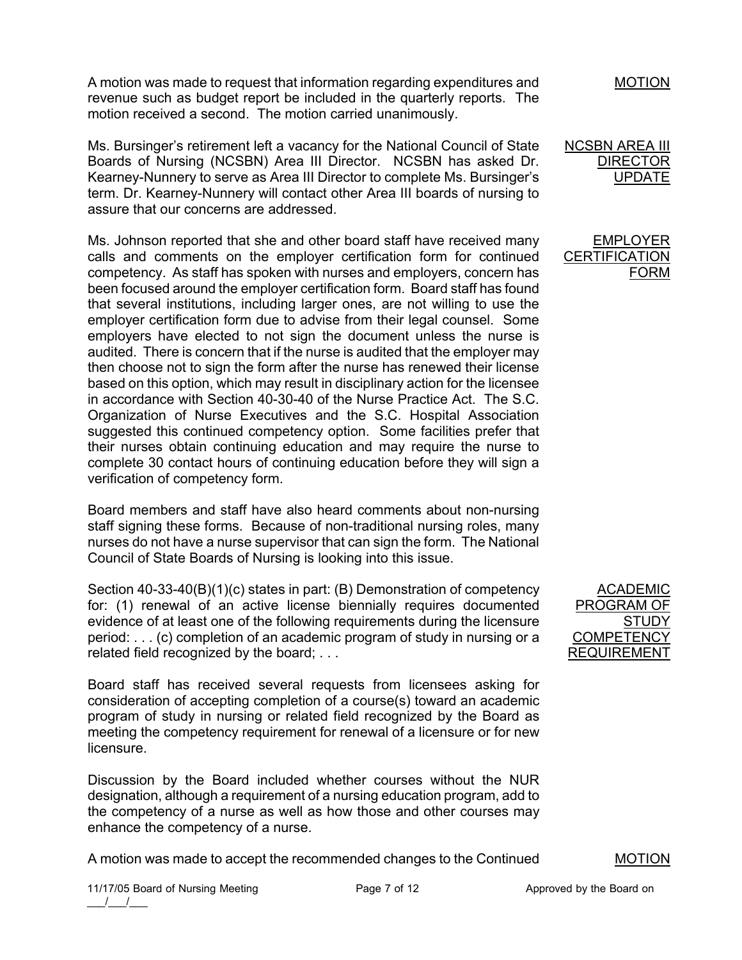A motion was made to request that information regarding expenditures and revenue such as budget report be included in the quarterly reports. The motion received a second. The motion carried unanimously.

Ms. Bursinger's retirement left a vacancy for the National Council of State Boards of Nursing (NCSBN) Area III Director. NCSBN has asked Dr. Kearney-Nunnery to serve as Area III Director to complete Ms. Bursinger's term. Dr. Kearney-Nunnery will contact other Area III boards of nursing to assure that our concerns are addressed.

Ms. Johnson reported that she and other board staff have received many calls and comments on the employer certification form for continued competency. As staff has spoken with nurses and employers, concern has been focused around the employer certification form. Board staff has found that several institutions, including larger ones, are not willing to use the employer certification form due to advise from their legal counsel. Some employers have elected to not sign the document unless the nurse is audited. There is concern that if the nurse is audited that the employer may then choose not to sign the form after the nurse has renewed their license based on this option, which may result in disciplinary action for the licensee in accordance with Section 40-30-40 of the Nurse Practice Act. The S.C. Organization of Nurse Executives and the S.C. Hospital Association suggested this continued competency option. Some facilities prefer that their nurses obtain continuing education and may require the nurse to complete 30 contact hours of continuing education before they will sign a verification of competency form.

Board members and staff have also heard comments about non-nursing staff signing these forms. Because of non-traditional nursing roles, many nurses do not have a nurse supervisor that can sign the form. The National Council of State Boards of Nursing is looking into this issue.

Section 40-33-40(B)(1)(c) states in part: (B) Demonstration of competency for: (1) renewal of an active license biennially requires documented evidence of at least one of the following requirements during the licensure period: . . . (c) completion of an academic program of study in nursing or a related field recognized by the board; . . .

Board staff has received several requests from licensees asking for consideration of accepting completion of a course(s) toward an academic program of study in nursing or related field recognized by the Board as meeting the competency requirement for renewal of a licensure or for new licensure.

Discussion by the Board included whether courses without the NUR designation, although a requirement of a nursing education program, add to the competency of a nurse as well as how those and other courses may enhance the competency of a nurse.

A motion was made to accept the recommended changes to the Continued



NCSBN AREA III DIRECTOR UPDATE

EMPLOYER **CERTIFICATION** FORM

ACADEMIC PROGRAM OF STUDY **COMPETENCY** REQUIREMENT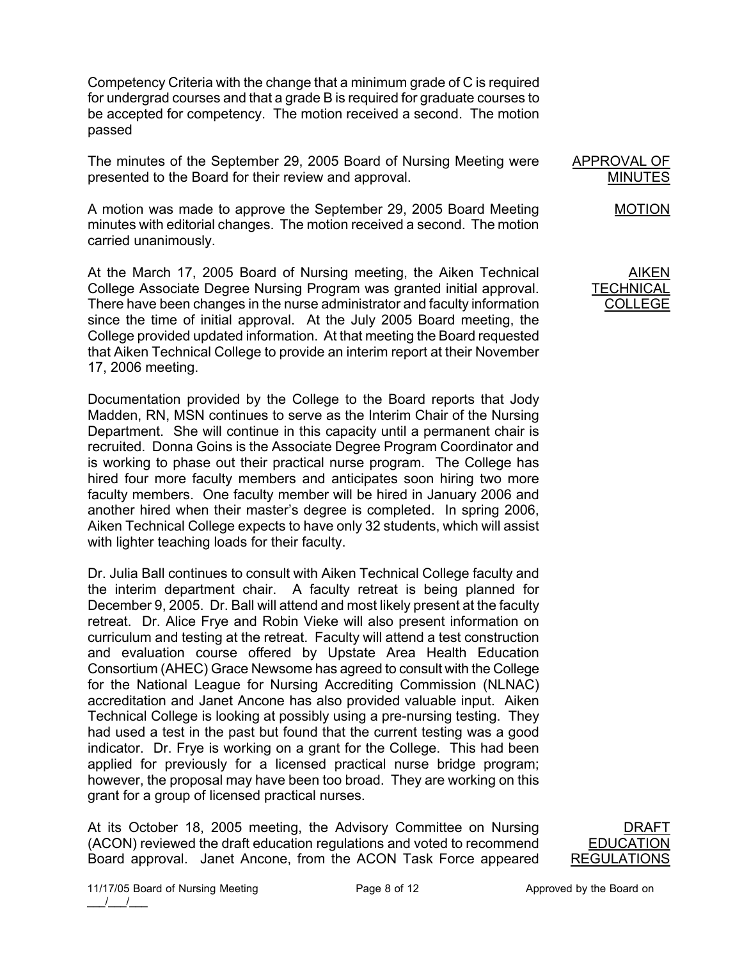Competency Criteria with the change that a minimum grade of C is required for undergrad courses and that a grade B is required for graduate courses to be accepted for competency. The motion received a second. The motion passed

The minutes of the September 29, 2005 Board of Nursing Meeting were presented to the Board for their review and approval.

A motion was made to approve the September 29, 2005 Board Meeting minutes with editorial changes. The motion received a second. The motion carried unanimously.

At the March 17, 2005 Board of Nursing meeting, the Aiken Technical College Associate Degree Nursing Program was granted initial approval. There have been changes in the nurse administrator and faculty information since the time of initial approval. At the July 2005 Board meeting, the College provided updated information. At that meeting the Board requested that Aiken Technical College to provide an interim report at their November 17, 2006 meeting.

Documentation provided by the College to the Board reports that Jody Madden, RN, MSN continues to serve as the Interim Chair of the Nursing Department. She will continue in this capacity until a permanent chair is recruited. Donna Goins is the Associate Degree Program Coordinator and is working to phase out their practical nurse program. The College has hired four more faculty members and anticipates soon hiring two more faculty members. One faculty member will be hired in January 2006 and another hired when their master's degree is completed. In spring 2006, Aiken Technical College expects to have only 32 students, which will assist with lighter teaching loads for their faculty.

Dr. Julia Ball continues to consult with Aiken Technical College faculty and the interim department chair. A faculty retreat is being planned for December 9, 2005. Dr. Ball will attend and most likely present at the faculty retreat. Dr. Alice Frye and Robin Vieke will also present information on curriculum and testing at the retreat. Faculty will attend a test construction and evaluation course offered by Upstate Area Health Education Consortium (AHEC) Grace Newsome has agreed to consult with the College for the National League for Nursing Accrediting Commission (NLNAC) accreditation and Janet Ancone has also provided valuable input. Aiken Technical College is looking at possibly using a pre-nursing testing. They had used a test in the past but found that the current testing was a good indicator. Dr. Frye is working on a grant for the College. This had been applied for previously for a licensed practical nurse bridge program; however, the proposal may have been too broad. They are working on this grant for a group of licensed practical nurses.

At its October 18, 2005 meeting, the Advisory Committee on Nursing (ACON) reviewed the draft education regulations and voted to recommend Board approval. Janet Ancone, from the ACON Task Force appeared





MOTION

APPROVAL OF MINUTES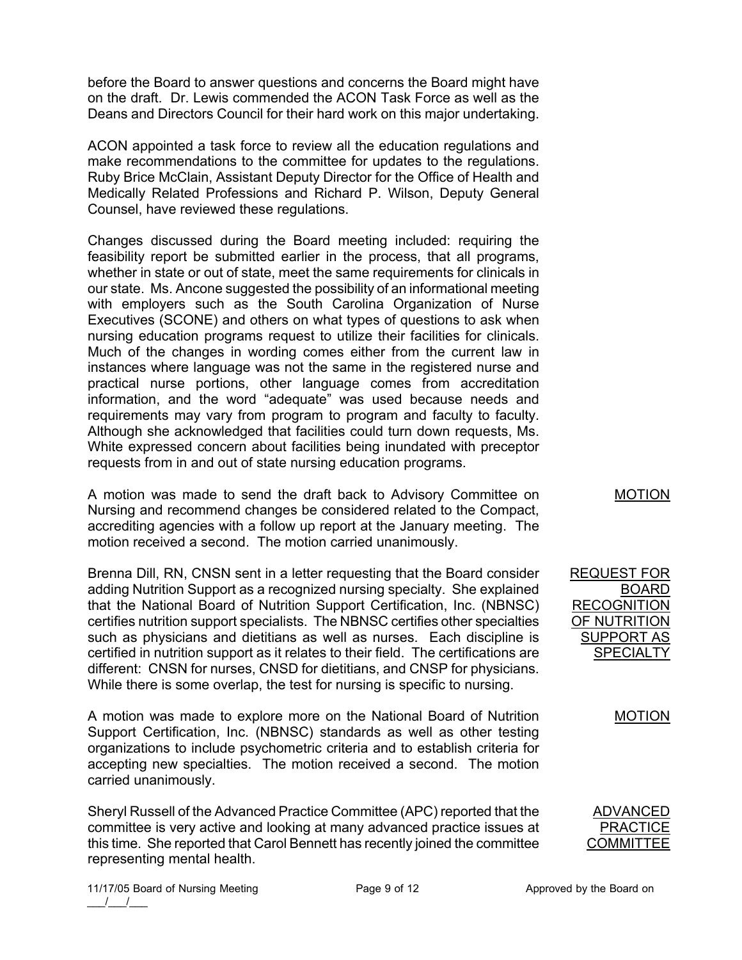before the Board to answer questions and concerns the Board might have on the draft. Dr. Lewis commended the ACON Task Force as well as the Deans and Directors Council for their hard work on this major undertaking.

ACON appointed a task force to review all the education regulations and make recommendations to the committee for updates to the regulations. Ruby Brice McClain, Assistant Deputy Director for the Office of Health and Medically Related Professions and Richard P. Wilson, Deputy General Counsel, have reviewed these regulations.

Changes discussed during the Board meeting included: requiring the feasibility report be submitted earlier in the process, that all programs, whether in state or out of state, meet the same requirements for clinicals in our state. Ms. Ancone suggested the possibility of an informational meeting with employers such as the South Carolina Organization of Nurse Executives (SCONE) and others on what types of questions to ask when nursing education programs request to utilize their facilities for clinicals. Much of the changes in wording comes either from the current law in instances where language was not the same in the registered nurse and practical nurse portions, other language comes from accreditation information, and the word "adequate" was used because needs and requirements may vary from program to program and faculty to faculty. Although she acknowledged that facilities could turn down requests, Ms. White expressed concern about facilities being inundated with preceptor requests from in and out of state nursing education programs.

A motion was made to send the draft back to Advisory Committee on Nursing and recommend changes be considered related to the Compact, accrediting agencies with a follow up report at the January meeting. The motion received a second. The motion carried unanimously.

Brenna Dill, RN, CNSN sent in a letter requesting that the Board consider adding Nutrition Support as a recognized nursing specialty. She explained that the National Board of Nutrition Support Certification, Inc. (NBNSC) certifies nutrition support specialists. The NBNSC certifies other specialties such as physicians and dietitians as well as nurses. Each discipline is certified in nutrition support as it relates to their field. The certifications are different: CNSN for nurses, CNSD for dietitians, and CNSP for physicians. While there is some overlap, the test for nursing is specific to nursing.

A motion was made to explore more on the National Board of Nutrition Support Certification, Inc. (NBNSC) standards as well as other testing organizations to include psychometric criteria and to establish criteria for accepting new specialties. The motion received a second. The motion carried unanimously.

Sheryl Russell of the Advanced Practice Committee (APC) reported that the committee is very active and looking at many advanced practice issues at this time. She reported that Carol Bennett has recently joined the committee representing mental health.

MOTION

REQUEST FOR BOARD **RECOGNITION** OF NUTRITION SUPPORT AS **SPECIALTY** 

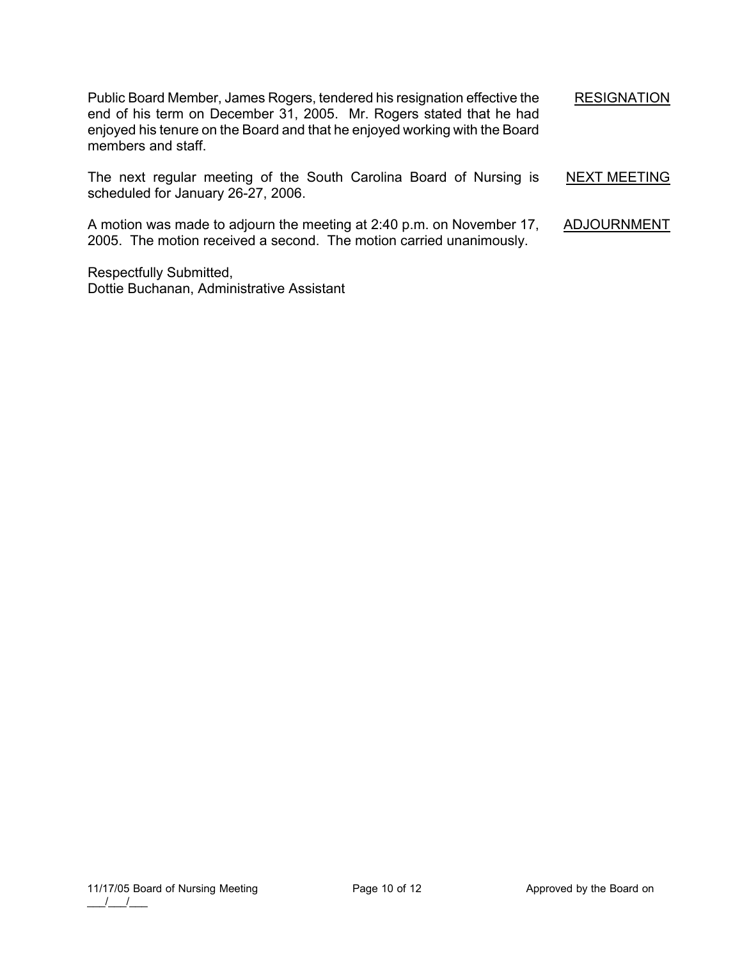Public Board Member, James Rogers, tendered his resignation effective the end of his term on December 31, 2005. Mr. Rogers stated that he had enjoyed his tenure on the Board and that he enjoyed working with the Board members and staff. **RESIGNATION** 

The next regular meeting of the South Carolina Board of Nursing is scheduled for January 26-27, 2006.

A motion was made to adjourn the meeting at 2:40 p.m. on November 17, 2005. The motion received a second. The motion carried unanimously. ADJOURNMENT

Respectfully Submitted, Dottie Buchanan, Administrative Assistant NEXT MEETING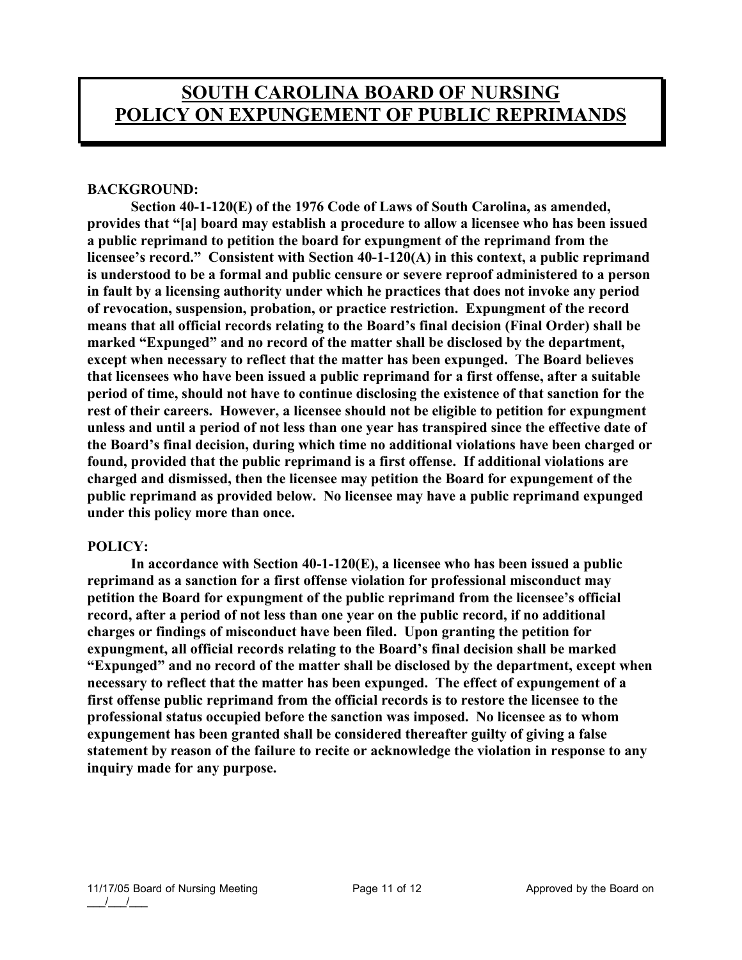# **BACKGROUND:**

 **Section 40-1-120(E) of the 1976 Code of Laws of South Carolina, as amended, provides that "[a] board may establish a procedure to allow a licensee who has been issued a public reprimand to petition the board for expungment of the reprimand from the licensee's record." Consistent with Section 40-1-120(A) in this context, a public reprimand is understood to be a formal and public censure or severe reproof administered to a person in fault by a licensing authority under which he practices that does not invoke any period of revocation, suspension, probation, or practice restriction. Expungment of the record means that all official records relating to the Board's final decision (Final Order) shall be marked "Expunged" and no record of the matter shall be disclosed by the department, except when necessary to reflect that the matter has been expunged. The Board believes that licensees who have been issued a public reprimand for a first offense, after a suitable period of time, should not have to continue disclosing the existence of that sanction for the rest of their careers. However, a licensee should not be eligible to petition for expungment unless and until a period of not less than one year has transpired since the effective date of the Board's final decision, during which time no additional violations have been charged or found, provided that the public reprimand is a first offense. If additional violations are charged and dismissed, then the licensee may petition the Board for expungement of the public reprimand as provided below. No licensee may have a public reprimand expunged under this policy more than once.** 

## **POLICY:**

 **In accordance with Section 40-1-120(E), a licensee who has been issued a public reprimand as a sanction for a first offense violation for professional misconduct may petition the Board for expungment of the public reprimand from the licensee's official record, after a period of not less than one year on the public record, if no additional charges or findings of misconduct have been filed. Upon granting the petition for expungment, all official records relating to the Board's final decision shall be marked "Expunged" and no record of the matter shall be disclosed by the department, except when necessary to reflect that the matter has been expunged. The effect of expungement of a first offense public reprimand from the official records is to restore the licensee to the professional status occupied before the sanction was imposed. No licensee as to whom expungement has been granted shall be considered thereafter guilty of giving a false statement by reason of the failure to recite or acknowledge the violation in response to any inquiry made for any purpose.**